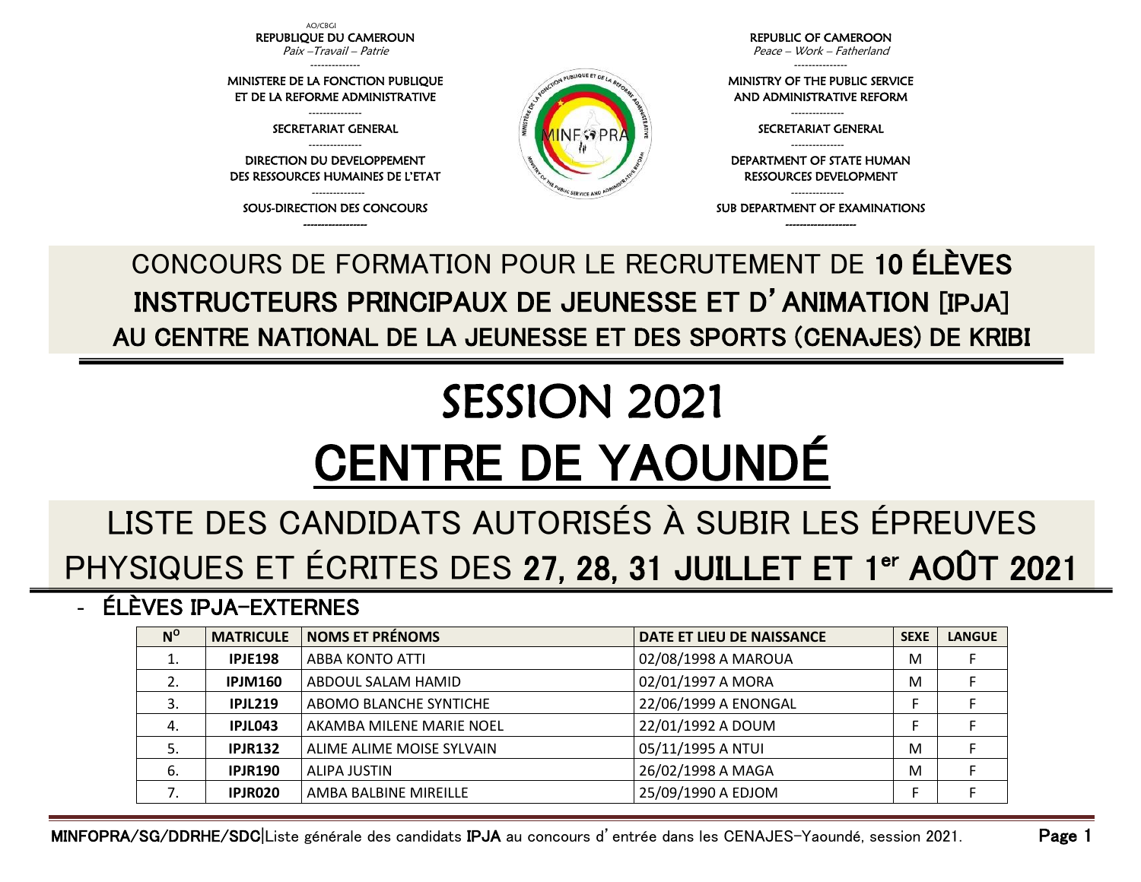AO/CBGI REPUBLIQUE DU CAMEROUN Paix –Travail – Patrie

-------------- MINISTERE DE LA FONCTION PUBLIQUE ET DE LA REFORME ADMINISTRATIVE --------------- SECRETARIAT GENERAL --------------- DIRECTION DU DEVELOPPEMENT DES RESSOURCES HUMAINES DE L'ETAT --------------- SOUS-DIRECTION DES CONCOURS

REPUBLIC OF CAMEROON Peace – Work – Fatherland

---------------

MINISTRY OF THE PUBLIC SERVICE AND ADMINISTRATIVE REFORM

> --------------- SECRETARIAT GENERAL ---------------

DEPARTMENT OF STATE HUMAN RESSOURCES DEVELOPMENT

--------------- SUB DEPARTMENT OF EXAMINATIONS

------------------ -------------------- CONCOURS DE FORMATION POUR LE RECRUTEMENT DE 10 ÉLÈVES INSTRUCTEURS PRINCIPAUX DE JEUNESSE ET D'ANIMATION [IPJA] AU CENTRE NATIONAL DE LA JEUNESSE ET DES SPORTS (CENAJES) DE KRIBI

## SESSION 2021 CENTRE DE YAOUNDÉ

## LISTE DES CANDIDATS AUTORISÉS À SUBIR LES ÉPREUVES PHYSIQUES ET ÉCRITES DES 27, 28, 31 JUILLET ET 1<sup>er</sup> AOÛT 2021

- ÉLÈVES IPJA-EXTERNES

| $N^{\rm o}$ | <b>MATRICULE</b> | <b>NOMS ET PRÉNOMS</b>    | DATE ET LIEU DE NAISSANCE | <b>SEXE</b> | <b>LANGUE</b> |
|-------------|------------------|---------------------------|---------------------------|-------------|---------------|
|             | <b>IPJE198</b>   | <b>ABBA KONTO ATTI</b>    | 02/08/1998 A MAROUA       | M           |               |
|             | <b>IPJM160</b>   | ABDOUL SALAM HAMID        | 02/01/1997 A MORA         | M           |               |
| 3.          | <b>IPJL219</b>   | ABOMO BLANCHE SYNTICHE    | 22/06/1999 A ENONGAL      |             |               |
| 4.          | IPJL043          | AKAMBA MILENE MARIE NOEL  | 22/01/1992 A DOUM         |             |               |
| 5.          | <b>IPJR132</b>   | ALIME ALIME MOISE SYLVAIN | 05/11/1995 A NTUI         | M           |               |
| 6.          | <b>IPJR190</b>   | ALIPA JUSTIN              | 26/02/1998 A MAGA         | M           |               |
|             | IPJR020          | AMBA BALBINE MIREILLE     | 25/09/1990 A EDJOM        |             |               |

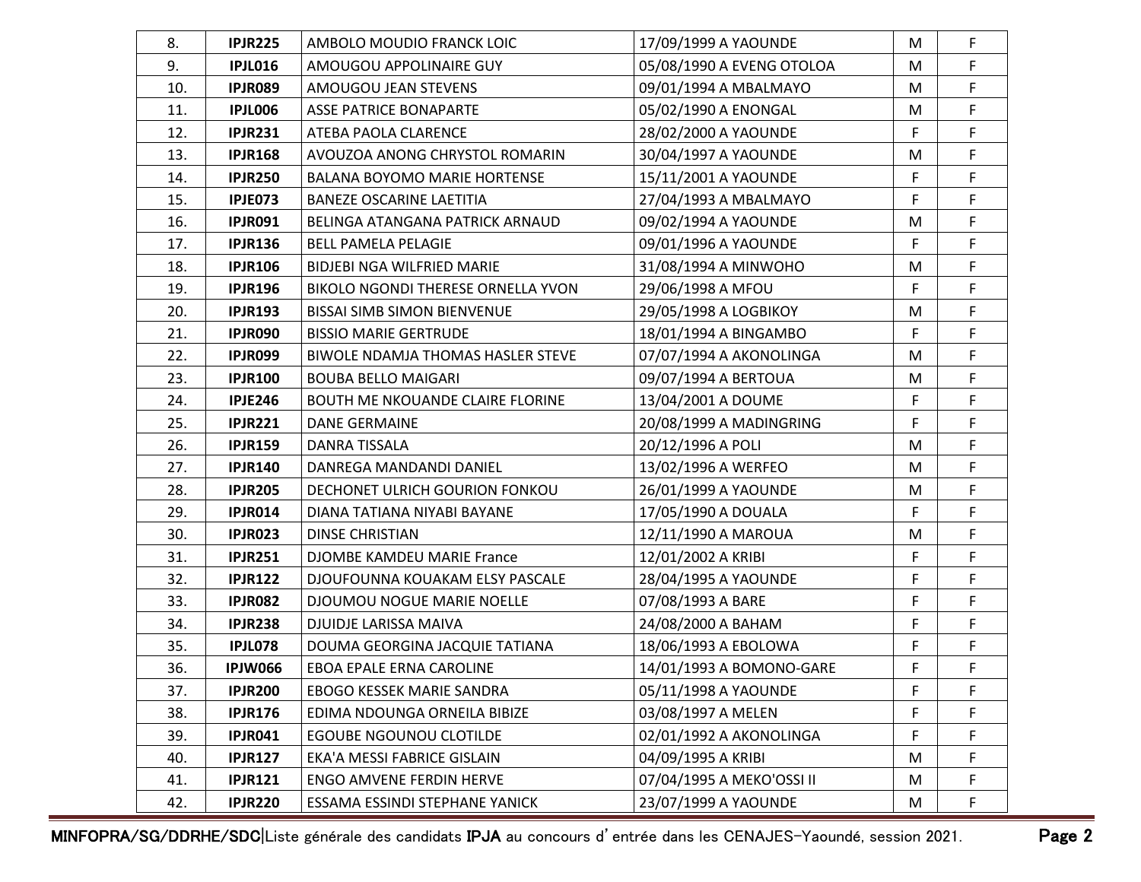| 8.  | <b>IPJR225</b> | AMBOLO MOUDIO FRANCK LOIC                | 17/09/1999 A YAOUNDE      | M | F  |
|-----|----------------|------------------------------------------|---------------------------|---|----|
| 9.  | <b>IPJL016</b> | AMOUGOU APPOLINAIRE GUY                  | 05/08/1990 A EVENG OTOLOA | M | F  |
| 10. | <b>IPJR089</b> | AMOUGOU JEAN STEVENS                     | 09/01/1994 A MBALMAYO     | M | F  |
| 11. | <b>IPJL006</b> | <b>ASSE PATRICE BONAPARTE</b>            | 05/02/1990 A ENONGAL      | M | F  |
| 12. | <b>IPJR231</b> | ATEBA PAOLA CLARENCE                     | 28/02/2000 A YAOUNDE      | F | F  |
| 13. | <b>IPJR168</b> | AVOUZOA ANONG CHRYSTOL ROMARIN           | 30/04/1997 A YAOUNDE      | M | F. |
| 14. | <b>IPJR250</b> | <b>BALANA BOYOMO MARIE HORTENSE</b>      | 15/11/2001 A YAOUNDE      | F | F  |
| 15. | <b>IPJE073</b> | <b>BANEZE OSCARINE LAETITIA</b>          | 27/04/1993 A MBALMAYO     | F | F  |
| 16. | <b>IPJR091</b> | BELINGA ATANGANA PATRICK ARNAUD          | 09/02/1994 A YAOUNDE      | M | F  |
| 17. | <b>IPJR136</b> | <b>BELL PAMELA PELAGIE</b>               | 09/01/1996 A YAOUNDE      | F | F  |
| 18. | <b>IPJR106</b> | BIDJEBI NGA WILFRIED MARIE               | 31/08/1994 A MINWOHO      | M | F  |
| 19. | <b>IPJR196</b> | BIKOLO NGONDI THERESE ORNELLA YVON       | 29/06/1998 A MFOU         | F | F. |
| 20. | <b>IPJR193</b> | <b>BISSAI SIMB SIMON BIENVENUE</b>       | 29/05/1998 A LOGBIKOY     | M | F  |
| 21. | IPJR090        | <b>BISSIO MARIE GERTRUDE</b>             | 18/01/1994 A BINGAMBO     | F | F  |
| 22. | IPJR099        | <b>BIWOLE NDAMJA THOMAS HASLER STEVE</b> | 07/07/1994 A AKONOLINGA   | M | F  |
| 23. | <b>IPJR100</b> | <b>BOUBA BELLO MAIGARI</b>               | 09/07/1994 A BERTOUA      | M | F  |
| 24. | <b>IPJE246</b> | BOUTH ME NKOUANDE CLAIRE FLORINE         | 13/04/2001 A DOUME        | F | F  |
| 25. | <b>IPJR221</b> | <b>DANE GERMAINE</b>                     | 20/08/1999 A MADINGRING   | F | F. |
| 26. | <b>IPJR159</b> | DANRA TISSALA                            | 20/12/1996 A POLI         | M | F  |
| 27. | <b>IPJR140</b> | DANREGA MANDANDI DANIEL                  | 13/02/1996 A WERFEO       | M | F  |
| 28. | <b>IPJR205</b> | DECHONET ULRICH GOURION FONKOU           | 26/01/1999 A YAOUNDE      | M | F  |
| 29. | <b>IPJR014</b> | DIANA TATIANA NIYABI BAYANE              | 17/05/1990 A DOUALA       | F | F  |
| 30. | <b>IPJR023</b> | <b>DINSE CHRISTIAN</b>                   | 12/11/1990 A MAROUA       | M | F  |
| 31. | <b>IPJR251</b> | DJOMBE KAMDEU MARIE France               | 12/01/2002 A KRIBI        | F | F  |
| 32. | <b>IPJR122</b> | DJOUFOUNNA KOUAKAM ELSY PASCALE          | 28/04/1995 A YAOUNDE      | F | F  |
| 33. | <b>IPJR082</b> | DJOUMOU NOGUE MARIE NOELLE               | 07/08/1993 A BARE         | F | F  |
| 34. | <b>IPJR238</b> | DJUIDJE LARISSA MAIVA                    | 24/08/2000 A BAHAM        | F | F  |
| 35. | <b>IPJL078</b> | DOUMA GEORGINA JACQUIE TATIANA           | 18/06/1993 A EBOLOWA      | F | F  |
| 36. | <b>IPJW066</b> | EBOA EPALE ERNA CAROLINE                 | 14/01/1993 A BOMONO-GARE  | F | F  |
| 37. | <b>IPJR200</b> | EBOGO KESSEK MARIE SANDRA                | 05/11/1998 A YAOUNDE      | F | F  |
| 38. | <b>IPJR176</b> | EDIMA NDOUNGA ORNEILA BIBIZE             | 03/08/1997 A MELEN        | F | F  |
| 39. | <b>IPJR041</b> | <b>EGOUBE NGOUNOU CLOTILDE</b>           | 02/01/1992 A AKONOLINGA   | F | F  |
| 40. | <b>IPJR127</b> | EKA'A MESSI FABRICE GISLAIN              | 04/09/1995 A KRIBI        | M | F  |
| 41. | <b>IPJR121</b> | <b>ENGO AMVENE FERDIN HERVE</b>          | 07/04/1995 A MEKO'OSSI II | M | F  |
| 42. | <b>IPJR220</b> | ESSAMA ESSINDI STEPHANE YANICK           | 23/07/1999 A YAOUNDE      | M | F. |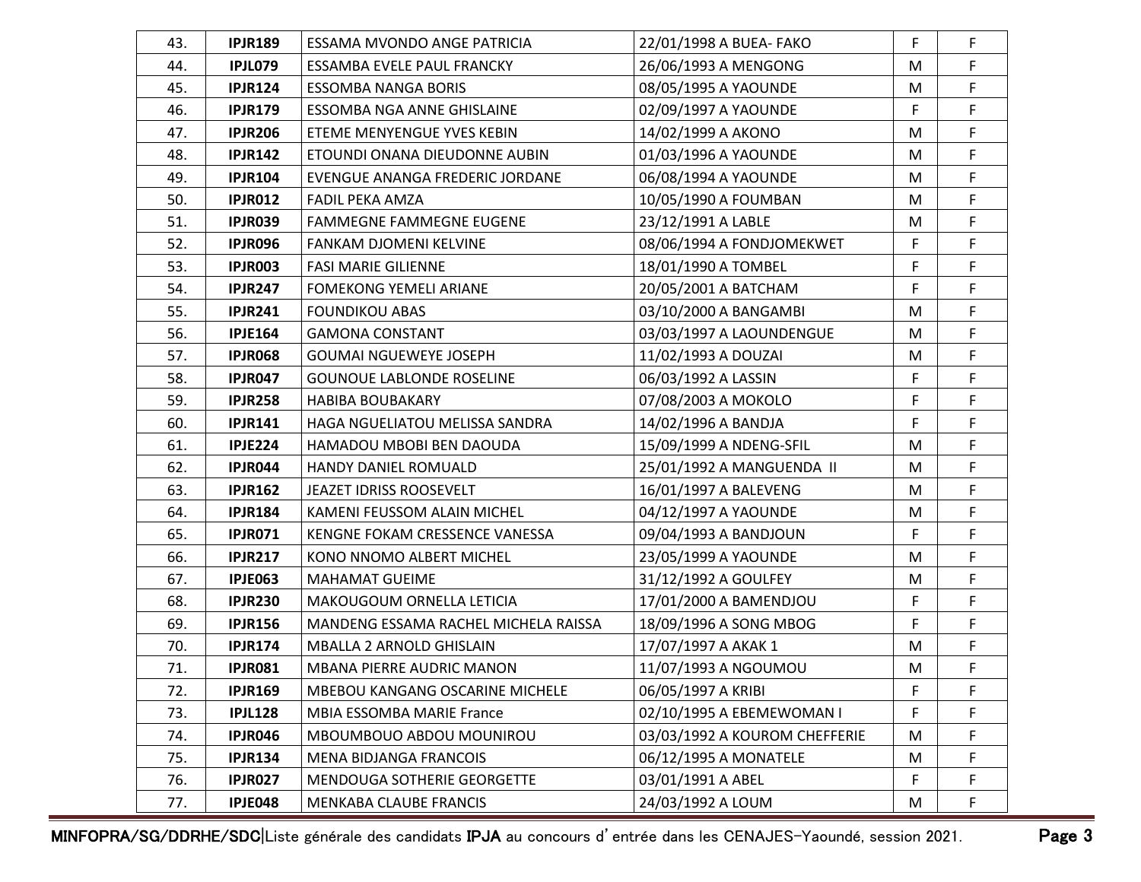| 43. | <b>IPJR189</b> | ESSAMA MVONDO ANGE PATRICIA          | 22/01/1998 A BUEA- FAKO       | F | F           |
|-----|----------------|--------------------------------------|-------------------------------|---|-------------|
| 44. | <b>IPJL079</b> | ESSAMBA EVELE PAUL FRANCKY           | 26/06/1993 A MENGONG          | M | F           |
| 45. | <b>IPJR124</b> | <b>ESSOMBA NANGA BORIS</b>           | 08/05/1995 A YAOUNDE          | M | F           |
| 46. | <b>IPJR179</b> | ESSOMBA NGA ANNE GHISLAINE           | 02/09/1997 A YAOUNDE          | F | F           |
| 47. | <b>IPJR206</b> | ETEME MENYENGUE YVES KEBIN           | 14/02/1999 A AKONO            | M | F           |
| 48. | <b>IPJR142</b> | ETOUNDI ONANA DIEUDONNE AUBIN        | 01/03/1996 A YAOUNDE          | M | F.          |
| 49. | <b>IPJR104</b> | EVENGUE ANANGA FREDERIC JORDANE      | 06/08/1994 A YAOUNDE          | M | F           |
| 50. | <b>IPJR012</b> | <b>FADIL PEKA AMZA</b>               | 10/05/1990 A FOUMBAN          | M | $\mathsf F$ |
| 51. | <b>IPJR039</b> | <b>FAMMEGNE FAMMEGNE EUGENE</b>      | 23/12/1991 A LABLE            | M | F           |
| 52. | <b>IPJR096</b> | FANKAM DJOMENI KELVINE               | 08/06/1994 A FONDJOMEKWET     | F | F           |
| 53. | <b>IPJR003</b> | <b>FASI MARIE GILIENNE</b>           | 18/01/1990 A TOMBEL           | F | F           |
| 54. | <b>IPJR247</b> | <b>FOMEKONG YEMELI ARIANE</b>        | 20/05/2001 A BATCHAM          | F | F.          |
| 55. | <b>IPJR241</b> | <b>FOUNDIKOU ABAS</b>                | 03/10/2000 A BANGAMBI         | M | F           |
| 56. | <b>IPJE164</b> | <b>GAMONA CONSTANT</b>               | 03/03/1997 A LAOUNDENGUE      | M | F           |
| 57. | <b>IPJR068</b> | <b>GOUMAI NGUEWEYE JOSEPH</b>        | 11/02/1993 A DOUZAI           | M | F           |
| 58. | <b>IPJR047</b> | <b>GOUNOUE LABLONDE ROSELINE</b>     | 06/03/1992 A LASSIN           | F | F           |
| 59. | <b>IPJR258</b> | <b>HABIBA BOUBAKARY</b>              | 07/08/2003 A MOKOLO           | F | F           |
| 60. | <b>IPJR141</b> | HAGA NGUELIATOU MELISSA SANDRA       | 14/02/1996 A BANDJA           | F | F.          |
| 61. | <b>IPJE224</b> | HAMADOU MBOBI BEN DAOUDA             | 15/09/1999 A NDENG-SFIL       | M | F           |
| 62. | IPJR044        | HANDY DANIEL ROMUALD                 | 25/01/1992 A MANGUENDA II     | M | F           |
| 63. | <b>IPJR162</b> | JEAZET IDRISS ROOSEVELT              | 16/01/1997 A BALEVENG         | M | F           |
| 64. | <b>IPJR184</b> | KAMENI FEUSSOM ALAIN MICHEL          | 04/12/1997 A YAOUNDE          | M | F           |
| 65. | <b>IPJR071</b> | KENGNE FOKAM CRESSENCE VANESSA       | 09/04/1993 A BANDJOUN         | F | F           |
| 66. | <b>IPJR217</b> | KONO NNOMO ALBERT MICHEL             | 23/05/1999 A YAOUNDE          | M | F           |
| 67. | <b>IPJE063</b> | <b>MAHAMAT GUEIME</b>                | 31/12/1992 A GOULFEY          | M | F           |
| 68. | <b>IPJR230</b> | MAKOUGOUM ORNELLA LETICIA            | 17/01/2000 A BAMENDJOU        | F | F           |
| 69. | <b>IPJR156</b> | MANDENG ESSAMA RACHEL MICHELA RAISSA | 18/09/1996 A SONG MBOG        | F | F           |
| 70. | <b>IPJR174</b> | MBALLA 2 ARNOLD GHISLAIN             | 17/07/1997 A AKAK 1           | M | F           |
| 71. | <b>IPJR081</b> | <b>MBANA PIERRE AUDRIC MANON</b>     | 11/07/1993 A NGOUMOU          | M | F           |
| 72. | <b>IPJR169</b> | MBEBOU KANGANG OSCARINE MICHELE      | 06/05/1997 A KRIBI            | F | F           |
| 73. | <b>IPJL128</b> | <b>MBIA ESSOMBA MARIE France</b>     | 02/10/1995 A EBEMEWOMAN I     | F | F           |
| 74. | <b>IPJR046</b> | MBOUMBOUO ABDOU MOUNIROU             | 03/03/1992 A KOUROM CHEFFERIE | M | F           |
| 75. | <b>IPJR134</b> | MENA BIDJANGA FRANCOIS               | 06/12/1995 A MONATELE         | M | F           |
| 76. | <b>IPJR027</b> | MENDOUGA SOTHERIE GEORGETTE          | 03/01/1991 A ABEL             | F | F           |
| 77. | <b>IPJE048</b> | MENKABA CLAUBE FRANCIS               | 24/03/1992 A LOUM             | M | F           |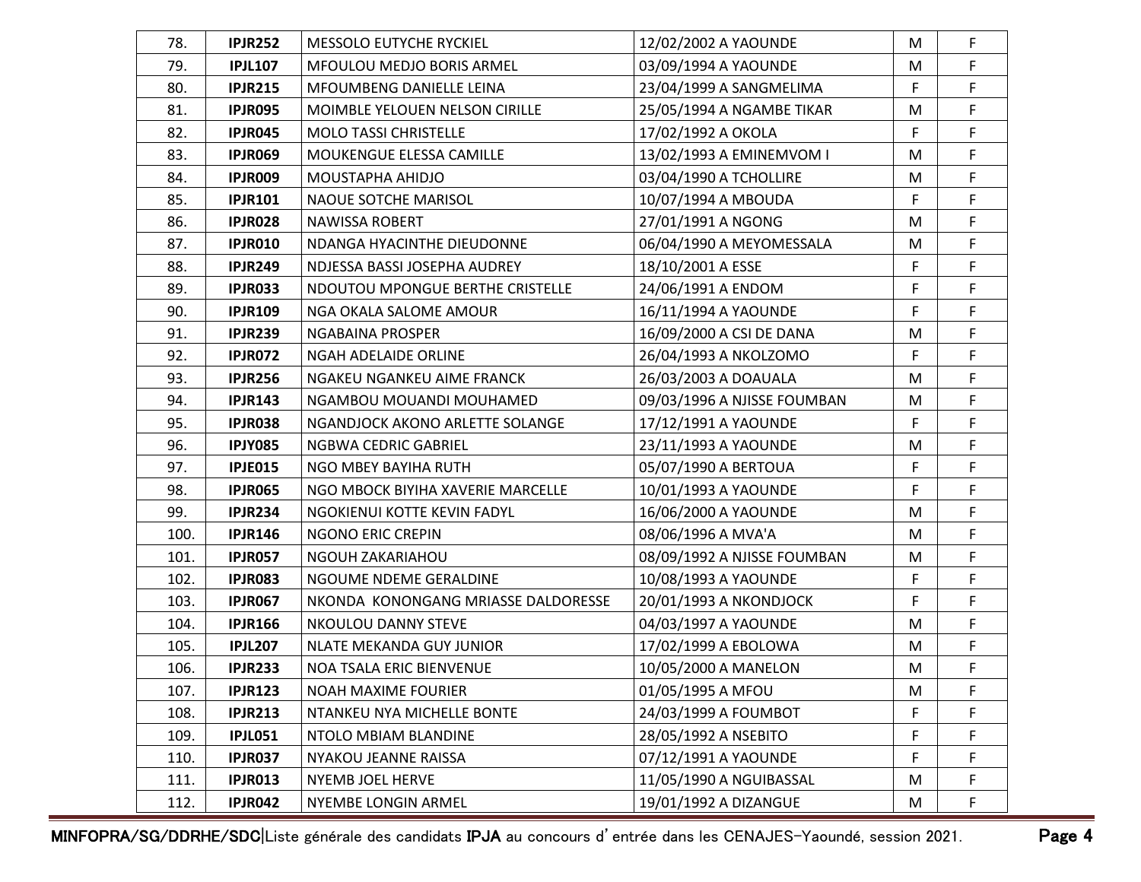| 78.  | <b>IPJR252</b> | <b>MESSOLO EUTYCHE RYCKIEL</b>      | 12/02/2002 A YAOUNDE        | M         | F  |
|------|----------------|-------------------------------------|-----------------------------|-----------|----|
| 79.  | <b>IPJL107</b> | <b>MFOULOU MEDJO BORIS ARMEL</b>    | 03/09/1994 A YAOUNDE        | M         | F  |
| 80.  | <b>IPJR215</b> | MFOUMBENG DANIELLE LEINA            | 23/04/1999 A SANGMELIMA     | F         | F  |
| 81.  | <b>IPJR095</b> | MOIMBLE YELOUEN NELSON CIRILLE      | 25/05/1994 A NGAMBE TIKAR   | M         | F  |
| 82.  | <b>IPJR045</b> | <b>MOLO TASSI CHRISTELLE</b>        | 17/02/1992 A OKOLA          | F         | F  |
| 83.  | <b>IPJR069</b> | MOUKENGUE ELESSA CAMILLE            | 13/02/1993 A EMINEMVOM I    | M         | F. |
| 84.  | <b>IPJR009</b> | MOUSTAPHA AHIDJO                    | 03/04/1990 A TCHOLLIRE      | ${\sf M}$ | F  |
| 85.  | <b>IPJR101</b> | NAOUE SOTCHE MARISOL                | 10/07/1994 A MBOUDA         | F         | F  |
| 86.  | <b>IPJR028</b> | <b>NAWISSA ROBERT</b>               | 27/01/1991 A NGONG          | M         | F  |
| 87.  | <b>IPJR010</b> | NDANGA HYACINTHE DIEUDONNE          | 06/04/1990 A MEYOMESSALA    | M         | F  |
| 88.  | <b>IPJR249</b> | NDJESSA BASSI JOSEPHA AUDREY        | 18/10/2001 A ESSE           | F         | F  |
| 89.  | <b>IPJR033</b> | NDOUTOU MPONGUE BERTHE CRISTELLE    | 24/06/1991 A ENDOM          | F         | F  |
| 90.  | <b>IPJR109</b> | NGA OKALA SALOME AMOUR              | 16/11/1994 A YAOUNDE        | F         | F  |
| 91.  | <b>IPJR239</b> | NGABAINA PROSPER                    | 16/09/2000 A CSI DE DANA    | M         | F  |
| 92.  | <b>IPJR072</b> | NGAH ADELAIDE ORLINE                | 26/04/1993 A NKOLZOMO       | F         | F  |
| 93.  | <b>IPJR256</b> | NGAKEU NGANKEU AIME FRANCK          | 26/03/2003 A DOAUALA        | M         | F  |
| 94.  | <b>IPJR143</b> | NGAMBOU MOUANDI MOUHAMED            | 09/03/1996 A NJISSE FOUMBAN | M         | F  |
| 95.  | <b>IPJR038</b> | NGANDJOCK AKONO ARLETTE SOLANGE     | 17/12/1991 A YAOUNDE        | F         | F. |
| 96.  | <b>IPJY085</b> | NGBWA CEDRIC GABRIEL                | 23/11/1993 A YAOUNDE        | M         | F  |
| 97.  | <b>IPJE015</b> | NGO MBEY BAYIHA RUTH                | 05/07/1990 A BERTOUA        | F         | F  |
| 98.  | <b>IPJR065</b> | NGO MBOCK BIYIHA XAVERIE MARCELLE   | 10/01/1993 A YAOUNDE        | F         | F  |
| 99.  | <b>IPJR234</b> | NGOKIENUI KOTTE KEVIN FADYL         | 16/06/2000 A YAOUNDE        | M         | F  |
| 100. | <b>IPJR146</b> | <b>NGONO ERIC CREPIN</b>            | 08/06/1996 A MVA'A          | M         | F  |
| 101. | <b>IPJR057</b> | <b>NGOUH ZAKARIAHOU</b>             | 08/09/1992 A NJISSE FOUMBAN | M         | F  |
| 102. | <b>IPJR083</b> | NGOUME NDEME GERALDINE              | 10/08/1993 A YAOUNDE        | F         | F  |
| 103. | <b>IPJR067</b> | NKONDA KONONGANG MRIASSE DALDORESSE | 20/01/1993 A NKONDJOCK      | F         | F  |
| 104. | <b>IPJR166</b> | NKOULOU DANNY STEVE                 | 04/03/1997 A YAOUNDE        | M         | F  |
| 105. | <b>IPJL207</b> | NLATE MEKANDA GUY JUNIOR            | 17/02/1999 A EBOLOWA        | M         | F  |
| 106. | <b>IPJR233</b> | NOA TSALA ERIC BIENVENUE            | 10/05/2000 A MANELON        | M         | F  |
| 107. | <b>IPJR123</b> | <b>NOAH MAXIME FOURIER</b>          | 01/05/1995 A MFOU           | M         | F  |
| 108. | <b>IPJR213</b> | NTANKEU NYA MICHELLE BONTE          | 24/03/1999 A FOUMBOT        | F         | F  |
| 109. | <b>IPJL051</b> | NTOLO MBIAM BLANDINE                | 28/05/1992 A NSEBITO        | F         | F  |
| 110. | <b>IPJR037</b> | NYAKOU JEANNE RAISSA                | 07/12/1991 A YAOUNDE        | F         | F  |
| 111. | <b>IPJR013</b> | NYEMB JOEL HERVE                    | 11/05/1990 A NGUIBASSAL     | M         | F  |
| 112. | <b>IPJR042</b> | NYEMBE LONGIN ARMEL                 | 19/01/1992 A DIZANGUE       | M         | F  |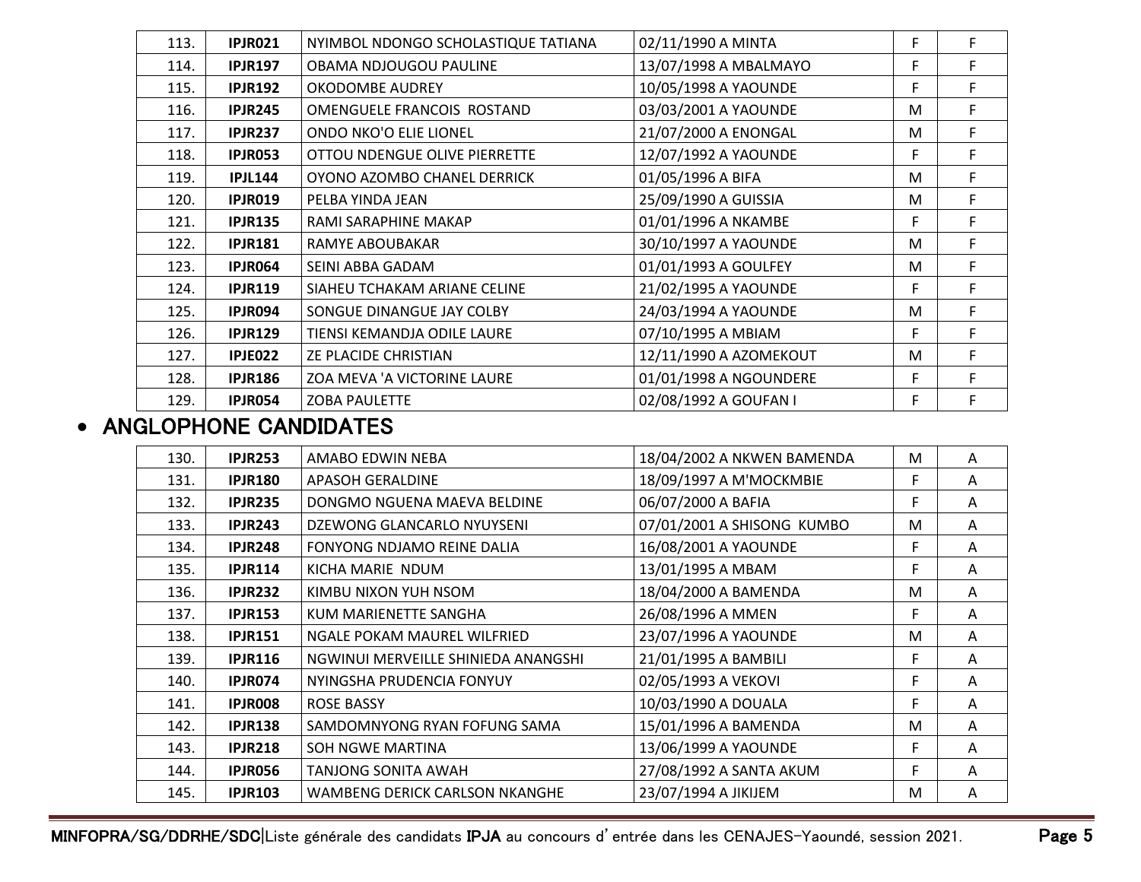| 113. | <b>IPJR021</b> | NYIMBOL NDONGO SCHOLASTIQUE TATIANA | 02/11/1990 A MINTA     | F | F  |
|------|----------------|-------------------------------------|------------------------|---|----|
| 114. | <b>IPJR197</b> | OBAMA NDJOUGOU PAULINE              | 13/07/1998 A MBALMAYO  | F | F  |
| 115. | <b>IPJR192</b> | <b>OKODOMBE AUDREY</b>              | 10/05/1998 A YAOUNDE   | F | F  |
| 116. | <b>IPJR245</b> | OMENGUELE FRANCOIS ROSTAND          | 03/03/2001 A YAOUNDE   | M | F  |
| 117. | <b>IPJR237</b> | ONDO NKO'O ELIE LIONEL              | 21/07/2000 A ENONGAL   | M | F  |
| 118. | <b>IPJR053</b> | OTTOU NDENGUE OLIVE PIERRETTE       | 12/07/1992 A YAOUNDE   | F | F  |
| 119. | <b>IPJL144</b> | OYONO AZOMBO CHANEL DERRICK         | 01/05/1996 A BIFA      | M | F  |
| 120. | <b>IPJR019</b> | PELBA YINDA JEAN                    | 25/09/1990 A GUISSIA   | M | F  |
| 121. | <b>IPJR135</b> | RAMI SARAPHINE MAKAP                | 01/01/1996 A NKAMBE    | F | F. |
| 122. | <b>IPJR181</b> | RAMYE ABOUBAKAR                     | 30/10/1997 A YAOUNDE   | M | F  |
| 123. | IPJR064        | SEINI ABBA GADAM                    | 01/01/1993 A GOULFEY   | M | F  |
| 124. | <b>IPJR119</b> | SIAHEU TCHAKAM ARIANE CELINE        | 21/02/1995 A YAOUNDE   | F | F  |
| 125. | IPJR094        | SONGUE DINANGUE JAY COLBY           | 24/03/1994 A YAOUNDE   | M | F  |
| 126. | <b>IPJR129</b> | TIENSI KEMANDJA ODILE LAURE         | 07/10/1995 A MBIAM     | F | F  |
| 127. | IPJE022        | ZE PLACIDE CHRISTIAN                | 12/11/1990 A AZOMEKOUT | M | F  |
| 128. | <b>IPJR186</b> | ZOA MEVA 'A VICTORINE LAURE         | 01/01/1998 A NGOUNDERE | F | F. |
| 129. | <b>IPJR054</b> | <b>ZOBA PAULETTE</b>                | 02/08/1992 A GOUFAN I  | F | F  |

## • ANGLOPHONE CANDIDATES

| 130. | <b>IPJR253</b> | AMABO EDWIN NEBA                      | 18/04/2002 A NKWEN BAMENDA | M  | A |
|------|----------------|---------------------------------------|----------------------------|----|---|
|      |                |                                       |                            |    |   |
| 131. | <b>IPJR180</b> | <b>APASOH GERALDINE</b>               | 18/09/1997 A M'MOCKMBIE    | F  | A |
| 132. | <b>IPJR235</b> | DONGMO NGUENA MAEVA BELDINE           | 06/07/2000 A BAFIA         | F  | A |
| 133. | <b>IPJR243</b> | DZEWONG GLANCARLO NYUYSENI            | 07/01/2001 A SHISONG KUMBO | M  | A |
| 134. | IPJR248        | FONYONG NDJAMO REINE DALIA            | 16/08/2001 A YAOUNDE       | F. | A |
| 135. | <b>IPJR114</b> | KICHA MARIE NDUM                      | 13/01/1995 A MBAM          | F  | A |
| 136. | <b>IPJR232</b> | KIMBU NIXON YUH NSOM                  | 18/04/2000 A BAMENDA       | M  | A |
| 137. | <b>IPJR153</b> | KUM MARIENETTE SANGHA                 | 26/08/1996 A MMEN          | F  | A |
| 138. | <b>IPJR151</b> | NGALE POKAM MAUREL WILFRIED           | 23/07/1996 A YAOUNDE       | м  | A |
| 139. | <b>IPJR116</b> | NGWINUI MERVEILLE SHINIEDA ANANGSHI   | 21/01/1995 A BAMBILI       | F  | A |
| 140. | IPJR074        | NYINGSHA PRUDENCIA FONYUY             | 02/05/1993 A VEKOVI        | F  | A |
| 141. | <b>IPJROO8</b> | <b>ROSE BASSY</b>                     | 10/03/1990 A DOUALA        | F  | A |
| 142. | <b>IPJR138</b> | SAMDOMNYONG RYAN FOFUNG SAMA          | 15/01/1996 A BAMENDA       | M  | A |
| 143. | <b>IPJR218</b> | SOH NGWE MARTINA                      | 13/06/1999 A YAOUNDE       | F  | A |
| 144. | IPJR056        | TANJONG SONITA AWAH                   | 27/08/1992 A SANTA AKUM    | F. | A |
| 145. | <b>IPJR103</b> | <b>WAMBENG DERICK CARLSON NKANGHE</b> | 23/07/1994 A JIKIJEM       | M  | A |